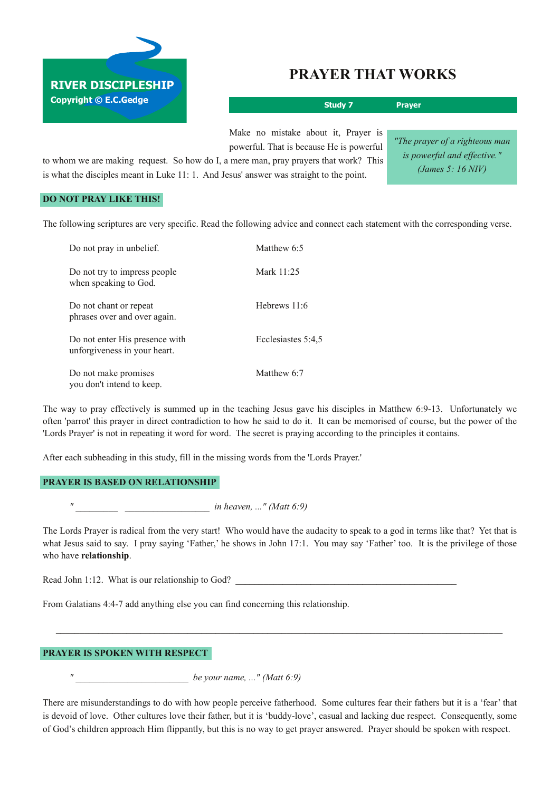# **RIVER DISCIPLESHIP Copyright © E.C.Gedge**

## **PRAYER THAT WORKS**

**Study 7 Prayer** Make no mistake about it, Prayer is *"The prayer of a righteous man*

powerful. That is because He is powerful

to whom we are making request. So how do I, a mere man, pray prayers that work? This is what the disciples meant in Luke 11: 1. And Jesus' answer was straight to the point.

*is powerful and effective." (James 5: 16 NIV)*

### **DO NOT PRAY LIKE THIS!**

The following scriptures are very specific. Read the following advice and connect each statement with the corresponding verse.

| Do not pray in unbelief.                                       | Matthew 6:5        |
|----------------------------------------------------------------|--------------------|
| Do not try to impress people<br>when speaking to God.          | Mark 11:25         |
| Do not chant or repeat<br>phrases over and over again.         | Hebrews 11:6       |
| Do not enter His presence with<br>unforgiveness in your heart. | Ecclesiastes 5:4,5 |
| Do not make promises<br>you don't intend to keep.              | Matthew 6:7        |

The way to pray effectively is summed up in the teaching Jesus gave his disciples in Matthew 6:9-13. Unfortunately we often 'parrot' this prayer in direct contradiction to how he said to do it. It can be memorised of course, but the power of the 'Lords Prayer' is not in repeating it word for word. The secret is praying according to the principles it contains.

After each subheading in this study, fill in the missing words from the 'Lords Prayer.'

#### **PRAYER IS BASED ON RELATIONSHIP**

*" \_\_\_\_\_\_\_\_\_ \_\_\_\_\_\_\_\_\_\_\_\_\_\_\_\_\_\_ in heaven, ..." (Matt 6:9)*

The Lords Prayer is radical from the very start! Who would have the audacity to speak to a god in terms like that? Yet that is what Jesus said to say. I pray saying 'Father,' he shows in John 17:1. You may say 'Father' too. It is the privilege of those who have **relationship**.

 $\mathcal{L}_\mathcal{L} = \{ \mathcal{L}_\mathcal{L} = \{ \mathcal{L}_\mathcal{L} = \{ \mathcal{L}_\mathcal{L} = \{ \mathcal{L}_\mathcal{L} = \{ \mathcal{L}_\mathcal{L} = \{ \mathcal{L}_\mathcal{L} = \{ \mathcal{L}_\mathcal{L} = \{ \mathcal{L}_\mathcal{L} = \{ \mathcal{L}_\mathcal{L} = \{ \mathcal{L}_\mathcal{L} = \{ \mathcal{L}_\mathcal{L} = \{ \mathcal{L}_\mathcal{L} = \{ \mathcal{L}_\mathcal{L} = \{ \mathcal{L}_\mathcal{$ 

Read John 1:12. What is our relationship to God?

From Galatians 4:47 add anything else you can find concerning this relationship.

#### **PRAYER IS SPOKEN WITH RESPECT**

*" \_\_\_\_\_\_\_\_\_\_\_\_\_\_\_\_\_\_\_\_\_\_\_\_ be your name, ..." (Matt 6:9)*

There are misunderstandings to do with how people perceive fatherhood. Some cultures fear their fathers but it is a 'fear' that is devoid of love. Other cultures love their father, but it is 'buddy-love', casual and lacking due respect. Consequently, some of God's children approach Him flippantly, but this is no way to get prayer answered. Prayer should be spoken with respect.